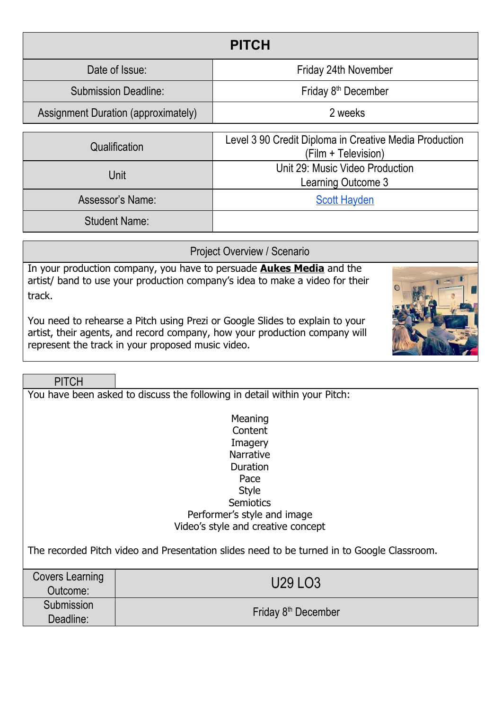| <b>PITCH</b>                               |                                                                               |  |  |  |
|--------------------------------------------|-------------------------------------------------------------------------------|--|--|--|
| Date of Issue:                             | Friday 24th November                                                          |  |  |  |
| <b>Submission Deadline:</b>                | Friday 8 <sup>th</sup> December                                               |  |  |  |
| <b>Assignment Duration (approximately)</b> | 2 weeks                                                                       |  |  |  |
| Qualification                              | Level 3 90 Credit Diploma in Creative Media Production<br>(Film + Television) |  |  |  |
| Unit                                       | Unit 29: Music Video Production<br>Learning Outcome 3                         |  |  |  |
| Assessor's Name:                           | <b>Scott Hayden</b>                                                           |  |  |  |
| <b>Student Name:</b>                       |                                                                               |  |  |  |

Project Overview / Scenario

In your production company, you have to persuade **Aukes Media** and the artist/ band to use your production company's idea to make a video for their track.

You need to rehearse a Pitch using Prezi or Google Slides to explain to your artist, their agents, and record company, how your production company will represent the track in your proposed music video.

**PITCH** 

You have been asked to discuss the following in detail within your Pitch:

**Meaning** Content **Imagery** Narrative Duration Pace Style **Semiotics** Performer's style and image Video's style and creative concept

The recorded Pitch video and Presentation slides need to be turned in to Google Classroom.

| Covers Learning<br>Outcome: | U29 LO3                         |
|-----------------------------|---------------------------------|
| Submission<br>Deadline:     | Friday 8 <sup>th</sup> December |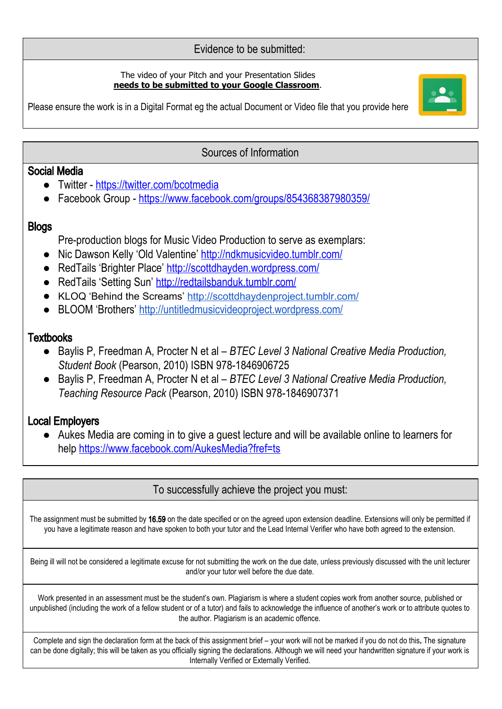### Evidence to be submitted:

#### The video of your Pitch and your Presentation Slides **needs to be submitted to your Google Classroom**.



Please ensure the work is in a Digital Format eg the actual Document or Video file that you provide here

#### Sources of Information

### Social Media

- Twitter <https://twitter.com/bcotmedia>
- Facebook Group <https://www.facebook.com/groups/854368387980359/>

### **Blogs**

Pre-production blogs for Music Video Production to serve as exemplars:

- Nic Dawson Kelly 'Old Valentine' <http://ndkmusicvideo.tumblr.com/>
- RedTails 'Brighter Place' <http://scottdhayden.wordpress.com/>
- RedTails 'Setting Sun' <http://redtailsbanduk.tumblr.com/>
- KLOQ 'Behind the Screams' <http://scottdhaydenproject.tumblr.com/>
- BLOOM 'Brothers' <http://untitledmusicvideoproject.wordpress.com/>

## **Textbooks**

- *●* Baylis P, Freedman A, Procter N et al *BTEC Level 3 National Creative Media Production, Student Book* (Pearson, 2010) ISBN 978-1846906725
- *●* Baylis P, Freedman A, Procter N et al *BTEC Level 3 National Creative Media Production, Teaching Resource Pack* (Pearson, 2010) ISBN 978-1846907371

# Local Employers

● Aukes Media are coming in to give a guest lecture and will be available online to learners for help <https://www.facebook.com/AukesMedia?fref=ts>

# To successfully achieve the project you must:

The assignment must be submitted by 16.59 on the date specified or on the agreed upon extension deadline. Extensions will only be permitted if you have a legitimate reason and have spoken to both your tutor and the Lead Internal Verifier who have both agreed to the extension.

Being ill will not be considered a legitimate excuse for not submitting the work on the due date, unless previously discussed with the unit lecturer and/or your tutor well before the due date.

Work presented in an assessment must be the student's own. Plagiarism is where a student copies work from another source, published or unpublished (including the work of a fellow student or of a tutor) and fails to acknowledge the influence of another's work or to attribute quotes to the author. Plagiarism is an academic offence.

Complete and sign the declaration form at the back of this assignment brief – your work will not be marked if you do not do this. The signature can be done digitally; this will be taken as you officially signing the declarations. Although we will need your handwritten signature if your work is Internally Verified or Externally Verified.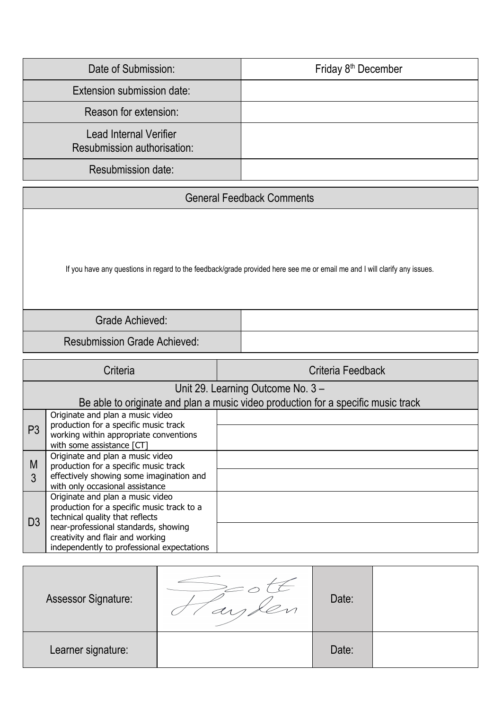| Date of Submission:                                          | Friday 8 <sup>th</sup> December |
|--------------------------------------------------------------|---------------------------------|
| Extension submission date:                                   |                                 |
| Reason for extension:                                        |                                 |
| <b>Lead Internal Verifier</b><br>Resubmission authorisation: |                                 |
| <b>Resubmission date:</b>                                    |                                 |

| If you have any questions in regard to the feedback/grade provided here see me or email me and I will clarify any issues. |  |  |  |  |
|---------------------------------------------------------------------------------------------------------------------------|--|--|--|--|
| <b>Grade Achieved:</b>                                                                                                    |  |  |  |  |
| <b>Resubmission Grade Achieved:</b>                                                                                       |  |  |  |  |

| Criteria<br>Criteria Feedback |                                                                                                                        |  |  |  |  |
|-------------------------------|------------------------------------------------------------------------------------------------------------------------|--|--|--|--|
|                               | Unit 29. Learning Outcome No. 3 -                                                                                      |  |  |  |  |
|                               | Be able to originate and plan a music video production for a specific music track                                      |  |  |  |  |
|                               | Originate and plan a music video                                                                                       |  |  |  |  |
| P <sub>3</sub>                | production for a specific music track<br>working within appropriate conventions<br>with some assistance [CT]           |  |  |  |  |
| M                             | Originate and plan a music video<br>production for a specific music track                                              |  |  |  |  |
| 3                             | effectively showing some imagination and<br>with only occasional assistance                                            |  |  |  |  |
|                               | Originate and plan a music video<br>production for a specific music track to a<br>technical quality that reflects      |  |  |  |  |
| D <sub>3</sub>                | near-professional standards, showing<br>creativity and flair and working<br>independently to professional expectations |  |  |  |  |

| <b>Assessor Signature:</b> | Date: |  |
|----------------------------|-------|--|
| Learner signature:         | Date: |  |